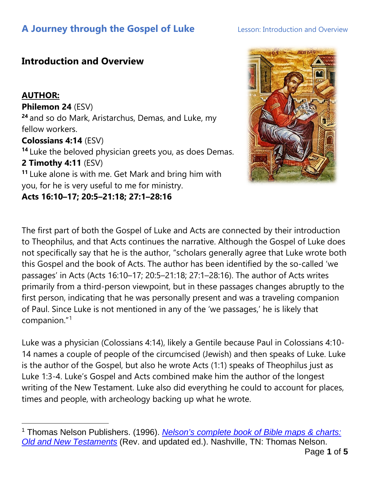## **Introduction and Overview**

### **AUTHOR:**

### **Philemon 24** (ESV)

**<sup>24</sup>** and so do Mark, Aristarchus, Demas, and Luke, my fellow workers.

### **Colossians 4:14** (ESV)

**<sup>14</sup>** Luke the beloved physician greets you, as does Demas. **2 Timothy 4:11** (ESV)

**<sup>11</sup>** Luke alone is with me. Get Mark and bring him with you, for he is very useful to me for ministry.

**Acts 16:10–17; 20:5–21:18; 27:1–28:16**



The first part of both the Gospel of Luke and Acts are connected by their introduction to Theophilus, and that Acts continues the narrative. Although the Gospel of Luke does not specifically say that he is the author, "scholars generally agree that Luke wrote both this Gospel and the book of Acts. The author has been identified by the so-called 'we passages' in Acts (Acts 16:10–17; 20:5–21:18; 27:1–28:16). The author of Acts writes primarily from a third-person viewpoint, but in these passages changes abruptly to the first person, indicating that he was personally present and was a traveling companion of Paul. Since Luke is not mentioned in any of the 'we passages,' he is likely that companion."[1](#page-0-0)

Luke was a physician (Colossians 4:14), likely a Gentile because Paul in Colossians 4:10- 14 names a couple of people of the circumcised (Jewish) and then speaks of Luke. Luke is the author of the Gospel, but also he wrote Acts (1:1) speaks of Theophilus just as Luke 1:3-4. Luke's Gospel and Acts combined make him the author of the longest writing of the New Testament. Luke also did everything he could to account for places, times and people, with archeology backing up what he wrote.

<span id="page-0-0"></span><sup>1</sup> Thomas Nelson Publishers. (1996). *[Nelson's complete book of Bible maps & charts:](https://ref.ly/logosres/bkmapcht?art=4.1.3.1&off=9&ctx=Author%0a++%7EThe+third+Gospel+is+anonymous%2c+)  [Old and New Testaments](https://ref.ly/logosres/bkmapcht?art=4.1.3.1&off=9&ctx=Author%0a++%7EThe+third+Gospel+is+anonymous%2c+)* (Rev. and updated ed.). Nashville, TN: Thomas Nelson.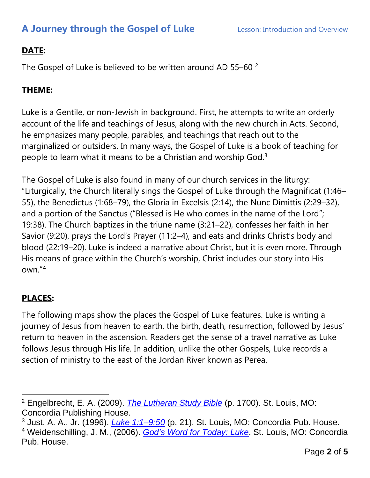## **DATE:**

The Gospel of Luke is believed to be written around AD 55-60<sup>[2](#page-1-0)</sup>

### **THEME:**

Luke is a Gentile, or non-Jewish in background. First, he attempts to write an orderly account of the life and teachings of Jesus, along with the new church in Acts. Second, he emphasizes many people, parables, and teachings that reach out to the marginalized or outsiders. In many ways, the Gospel of Luke is a book of teaching for people to learn what it means to be a Christian and worship God.[3](#page-1-1)

The Gospel of Luke is also found in many of our church services in the liturgy: "Liturgically, the Church literally sings the Gospel of Luke through the Magnificat (1:46– 55), the Benedictus (1:68–79), the Gloria in Excelsis (2:14), the Nunc Dimittis (2:29–32), and a portion of the Sanctus ("Blessed is He who comes in the name of the Lord"; 19:38). The Church baptizes in the triune name (3:21–22), confesses her faith in her Savior (9:20), prays the Lord's Prayer (11:2–4), and eats and drinks Christ's body and blood (22:19–20). Luke is indeed a narrative about Christ, but it is even more. Through His means of grace within the Church's worship, Christ includes our story into His own."[4](#page-1-2)

## **PLACES:**

The following maps show the places the Gospel of Luke features. Luke is writing a journey of Jesus from heaven to earth, the birth, death, resurrection, followed by Jesus' return to heaven in the ascension. Readers get the sense of a travel narrative as Luke follows Jesus through His life. In addition, unlike the other Gospels, Luke records a section of ministry to the east of the Jordan River known as Perea.

<span id="page-1-0"></span><sup>2</sup> Engelbrecht, E. A. (2009). *[The Lutheran Study Bible](https://ref.ly/logosres/lsbconcordia?ref=Bible.Lk&off=1084&ctx=44%E2%80%9349)%0aReading+Luke%0a%7EDuring+the+23-mile+j)* (p. 1700). St. Louis, MO: Concordia Publishing House.

<span id="page-1-2"></span><span id="page-1-1"></span><sup>3</sup> Just, A. A., Jr. (1996). *[Luke 1:1–9:50](https://ref.ly/logosres/cphcluke?ref=Page.p+21&off=742&ctx=im+in+the+formation+%7Eof+a+sermon+theme+or)* (p. 21). St. Louis, MO: Concordia Pub. House. <sup>4</sup> Weidenschilling, J. M., (2006). *God's Word for Today: Luke*. St. Louis, MO: Concordia Pub. House.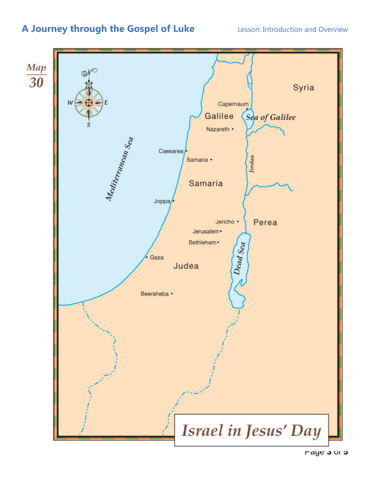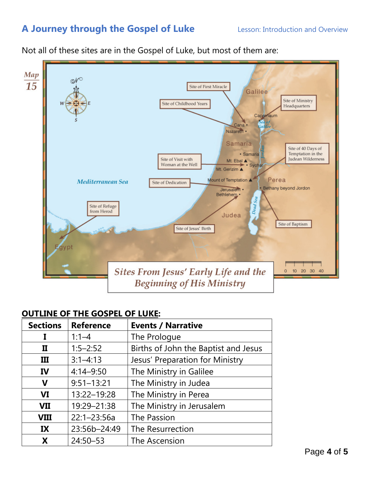Not all of these sites are in the Gospel of Luke, but most of them are:



#### **OUTLINE OF THE GOSPEL OF LUKE:**

| <b>Sections</b> | <b>Reference</b> | <b>Events / Narrative</b>            |
|-----------------|------------------|--------------------------------------|
| I               | $1:1-4$          | The Prologue                         |
| п               | $1:5-2:52$       | Births of John the Baptist and Jesus |
| III             | $3:1 - 4:13$     | Jesus' Preparation for Ministry      |
| IV              | $4:14 - 9:50$    | The Ministry in Galilee              |
| $\mathbf v$     | $9:51 - 13:21$   | The Ministry in Judea                |
| <b>VI</b>       | 13:22-19:28      | The Ministry in Perea                |
| <b>VII</b>      | 19:29-21:38      | The Ministry in Jerusalem            |
| <b>VIII</b>     | $22:1 - 23:56a$  | The Passion                          |
| IX              | 23:56b-24:49     | The Resurrection                     |
| X               | 24:50-53         | The Ascension                        |